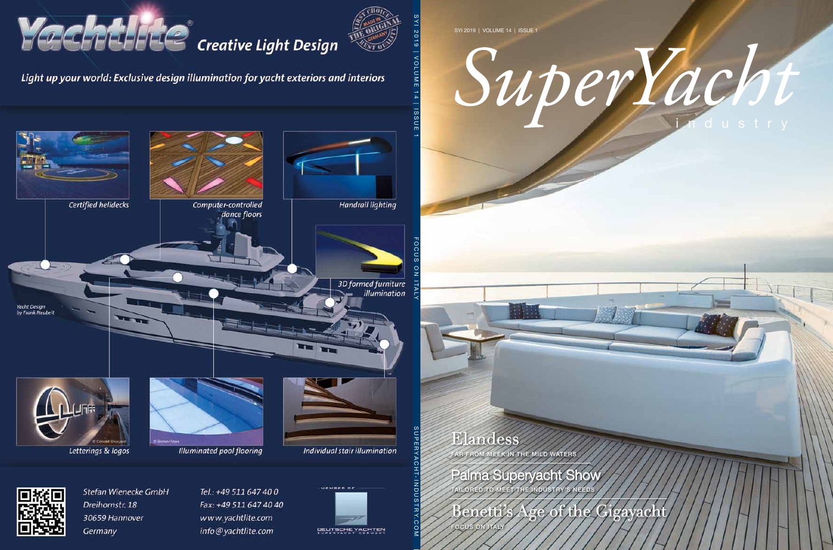SYI 2019 | Volume 14 | Issue 1

# superVacht

### Elandess

far from meek in the mild waters

Palma Superyacht Show tailored to meet the industry's needs

Benetti's Age of the Gigayacht

**OCUS ON ITALY**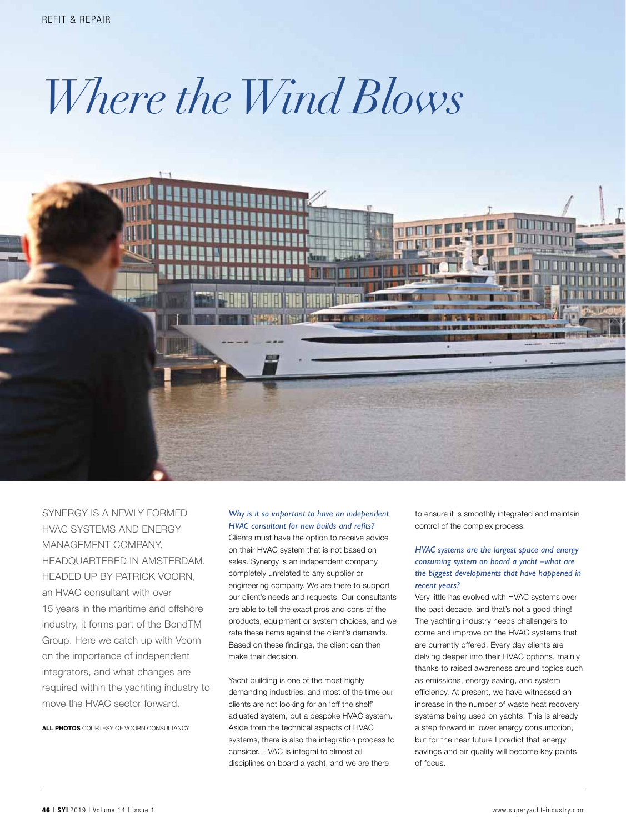## *Where the Wind Blows*



Synergy is a newly formed HVAC systems and energy management company, headquartered in Amsterdam. Headed up by Patrick Voorn, an HVAC consultant with over 15 years in the maritime and offshore industry, it forms part of the BondTM Group. Here we catch up with Voorn on the importance of independent integrators, and what changes are required within the yachting industry to move the HVAC sector forward.

ALL PHOTOS COURTESY OF VOORN CONSULTANCY

#### *Why is it so important to have an independent HVAC consultant for new builds and refits?*

Clients must have the option to receive advice on their HVAC system that is not based on sales. Synergy is an independent company, completely unrelated to any supplier or engineering company. We are there to support our client's needs and requests. Our consultants are able to tell the exact pros and cons of the products, equipment or system choices, and we rate these items against the client's demands. Based on these findings, the client can then make their decision.

Yacht building is one of the most highly demanding industries, and most of the time our clients are not looking for an 'off the shelf' adjusted system, but a bespoke HVAC system. Aside from the technical aspects of HVAC systems, there is also the integration process to consider. HVAC is integral to almost all disciplines on board a yacht, and we are there

to ensure it is smoothly integrated and maintain control of the complex process.

#### *HVAC systems are the largest space and energy consuming system on board a yacht –what are the biggest developments that have happened in recent years?*

Very little has evolved with HVAC systems over the past decade, and that's not a good thing! The yachting industry needs challengers to come and improve on the HVAC systems that are currently offered. Every day clients are delving deeper into their HVAC options, mainly thanks to raised awareness around topics such as emissions, energy saving, and system efficiency. At present, we have witnessed an increase in the number of waste heat recovery systems being used on yachts. This is already a step forward in lower energy consumption, but for the near future I predict that energy savings and air quality will become key points of focus.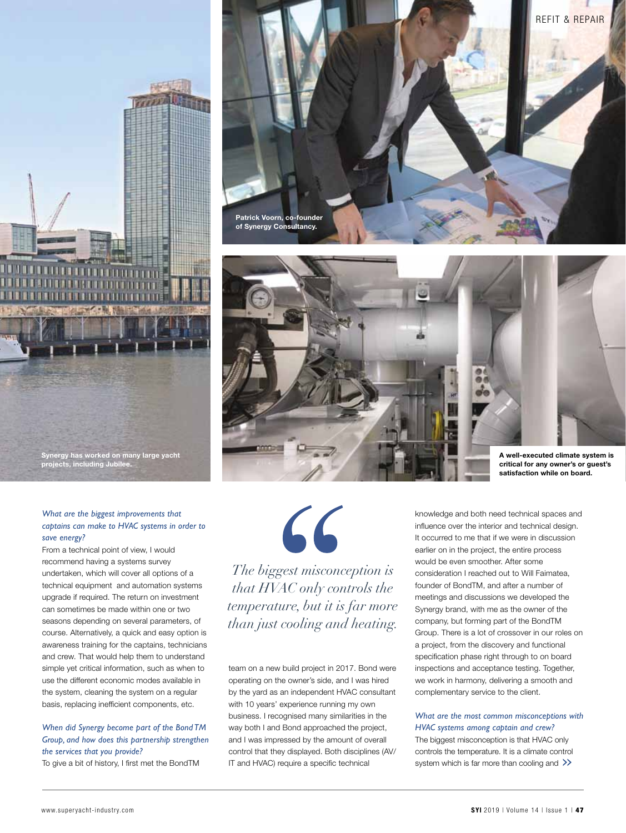

#### *What are the biggest improvements that captains can make to HVAC systems in order to save energy?*

From a technical point of view, I would recommend having a systems survey undertaken, which will cover all options of a technical equipment and automation systems upgrade if required. The return on investment can sometimes be made within one or two seasons depending on several parameters, of course. Alternatively, a quick and easy option is awareness training for the captains, technicians and crew. That would help them to understand simple yet critical information, such as when to use the different economic modes available in the system, cleaning the system on a regular basis, replacing inefficient components, etc.

#### *When did Synergy become part of the Bond TM Group, and how does this partnership strengthen the services that you provide?* To give a bit of history, I first met the BondTM





66 *The biggest misconception is* 

*that HVAC only controls the temperature, but it is far more than just cooling and heating.*

team on a new build project in 2017. Bond were operating on the owner's side, and I was hired by the yard as an independent HVAC consultant with 10 years' experience running my own business. I recognised many similarities in the way both I and Bond approached the project, and I was impressed by the amount of overall control that they displayed. Both disciplines (AV/ IT and HVAC) require a specific technical

knowledge and both need technical spaces and influence over the interior and technical design. It occurred to me that if we were in discussion earlier on in the project, the entire process would be even smoother. After some consideration I reached out to Will Faimatea, founder of BondTM, and after a number of meetings and discussions we developed the Synergy brand, with me as the owner of the company, but forming part of the BondTM Group. There is a lot of crossover in our roles on a project, from the discovery and functional specification phase right through to on board inspections and acceptance testing. Together, we work in harmony, delivering a smooth and complementary service to the client.

#### *What are the most common misconceptions with HVAC systems among captain and crew?*  The biggest misconception is that HVAC only

controls the temperature. It is a climate control controls the temperature. It is a climate control<br>system which is far more than cooling and  $\gg$